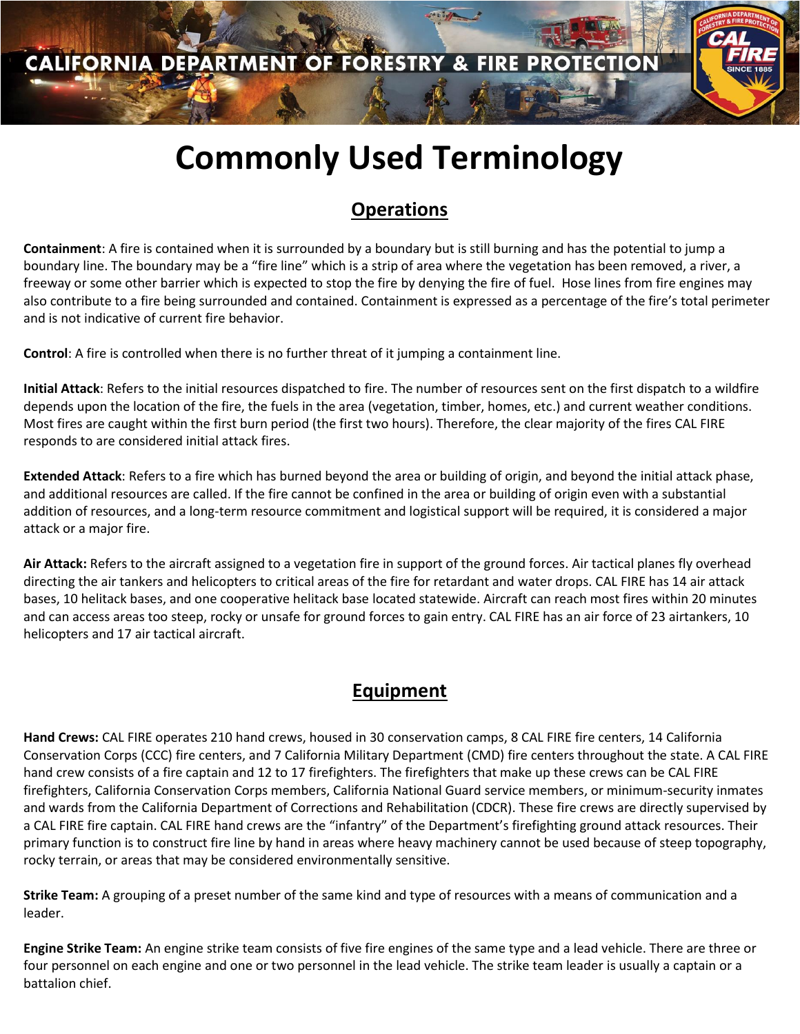# **Commonly Used Terminology**

## **Operations**

**Containment**: A fire is contained when it is surrounded by a boundary but is still burning and has the potential to jump a boundary line. The boundary may be a "fire line" which is a strip of area where the vegetation has been removed, a river, a freeway or some other barrier which is expected to stop the fire by denying the fire of fuel. Hose lines from fire engines may also contribute to a fire being surrounded and contained. Containment is expressed as a percentage of the fire's total perimeter and is not indicative of current fire behavior.

**Control**: A fire is controlled when there is no further threat of it jumping a containment line.

**Initial Attack**: Refers to the initial resources dispatched to fire. The number of resources sent on the first dispatch to a wildfire depends upon the location of the fire, the fuels in the area (vegetation, timber, homes, etc.) and current weather conditions. Most fires are caught within the first burn period (the first two hours). Therefore, the clear majority of the fires CAL FIRE responds to are considered initial attack fires.

**Extended Attack**: Refers to a fire which has burned beyond the area or building of origin, and beyond the initial attack phase, and additional resources are called. If the fire cannot be confined in the area or building of origin even with a substantial addition of resources, and a long-term resource commitment and logistical support will be required, it is considered a major attack or a major fire.

**Air Attack:** Refers to the aircraft assigned to a vegetation fire in support of the ground forces. Air tactical planes fly overhead directing the air tankers and helicopters to critical areas of the fire for retardant and water drops. CAL FIRE has 14 air attack bases, 10 helitack bases, and one cooperative helitack base located statewide. Aircraft can reach most fires within 20 minutes and can access areas too steep, rocky or unsafe for ground forces to gain entry. CAL FIRE has an air force of 23 airtankers, 10 helicopters and 17 air tactical aircraft.

### **Equipment**

**Hand Crews:** CAL FIRE operates 210 hand crews, housed in 30 conservation camps, 8 CAL FIRE fire centers, 14 California Conservation Corps (CCC) fire centers, and 7 California Military Department (CMD) fire centers throughout the state. A CAL FIRE hand crew consists of a fire captain and 12 to 17 firefighters. The firefighters that make up these crews can be CAL FIRE firefighters, California Conservation Corps members, California National Guard service members, or minimum-security inmates and wards from the California Department of Corrections and Rehabilitation (CDCR). These fire crews are directly supervised by a CAL FIRE fire captain. CAL FIRE hand crews are the "infantry" of the Department's firefighting ground attack resources. Their primary function is to construct fire line by hand in areas where heavy machinery cannot be used because of steep topography, rocky terrain, or areas that may be considered environmentally sensitive.

**Strike Team:** A grouping of a preset number of the same kind and type of resources with a means of communication and a leader.

**Engine Strike Team:** An engine strike team consists of five fire engines of the same type and a lead vehicle. There are three or four personnel on each engine and one or two personnel in the lead vehicle. The strike team leader is usually a captain or a battalion chief.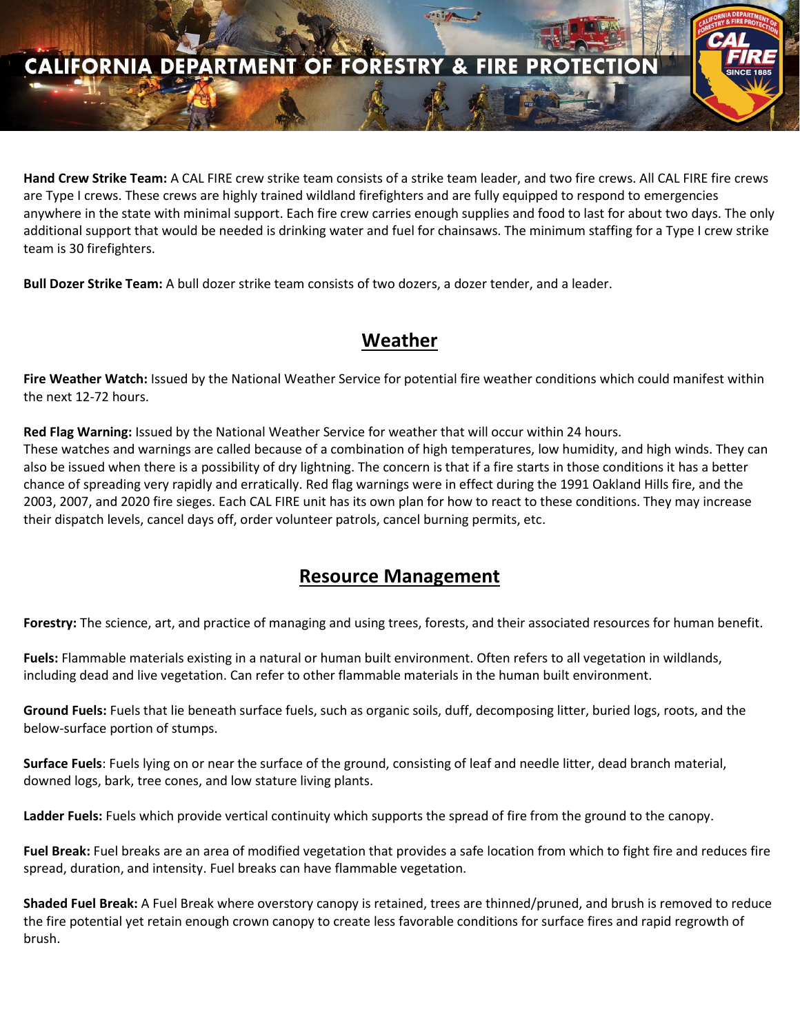### **CALIFORNIA DEPARTMENT OF FORESTRY**  $\mathbf{a}$

**Hand Crew Strike Team:** A CAL FIRE crew strike team consists of a strike team leader, and two fire crews. All CAL FIRE fire crews are Type I crews. These crews are highly trained wildland firefighters and are fully equipped to respond to emergencies anywhere in the state with minimal support. Each fire crew carries enough supplies and food to last for about two days. The only additional support that would be needed is drinking water and fuel for chainsaws. The minimum staffing for a Type I crew strike team is 30 firefighters.

**Bull Dozer Strike Team:** A bull dozer strike team consists of two dozers, a dozer tender, and a leader.

### **Weather**

**Fire Weather Watch:** Issued by the National Weather Service for potential fire weather conditions which could manifest within the next 12-72 hours.

**Red Flag Warning:** Issued by the National Weather Service for weather that will occur within 24 hours. These watches and warnings are called because of a combination of high temperatures, low humidity, and high winds. They can also be issued when there is a possibility of dry lightning. The concern is that if a fire starts in those conditions it has a better chance of spreading very rapidly and erratically. Red flag warnings were in effect during the 1991 Oakland Hills fire, and the 2003, 2007, and 2020 fire sieges. Each CAL FIRE unit has its own plan for how to react to these conditions. They may increase their dispatch levels, cancel days off, order volunteer patrols, cancel burning permits, etc.

### **Resource Management**

**Forestry:** The science, art, and practice of managing and using trees, forests, and their associated resources for human benefit.

**Fuels:** Flammable materials existing in a natural or human built environment. Often refers to all vegetation in wildlands, including dead and live vegetation. Can refer to other flammable materials in the human built environment.

**Ground Fuels:** Fuels that lie beneath surface fuels, such as organic soils, duff, decomposing litter, buried logs, roots, and the below-surface portion of stumps.

**Surface Fuels**: Fuels lying on or near the surface of the ground, consisting of leaf and needle litter, dead branch material, downed logs, bark, tree cones, and low stature living plants.

**Ladder Fuels:** Fuels which provide vertical continuity which supports the spread of fire from the ground to the canopy.

**Fuel Break:** Fuel breaks are an area of modified vegetation that provides a safe location from which to fight fire and reduces fire spread, duration, and intensity. Fuel breaks can have flammable vegetation.

**Shaded Fuel Break:** A Fuel Break where overstory canopy is retained, trees are thinned/pruned, and brush is removed to reduce the fire potential yet retain enough crown canopy to create less favorable conditions for surface fires and rapid regrowth of brush.